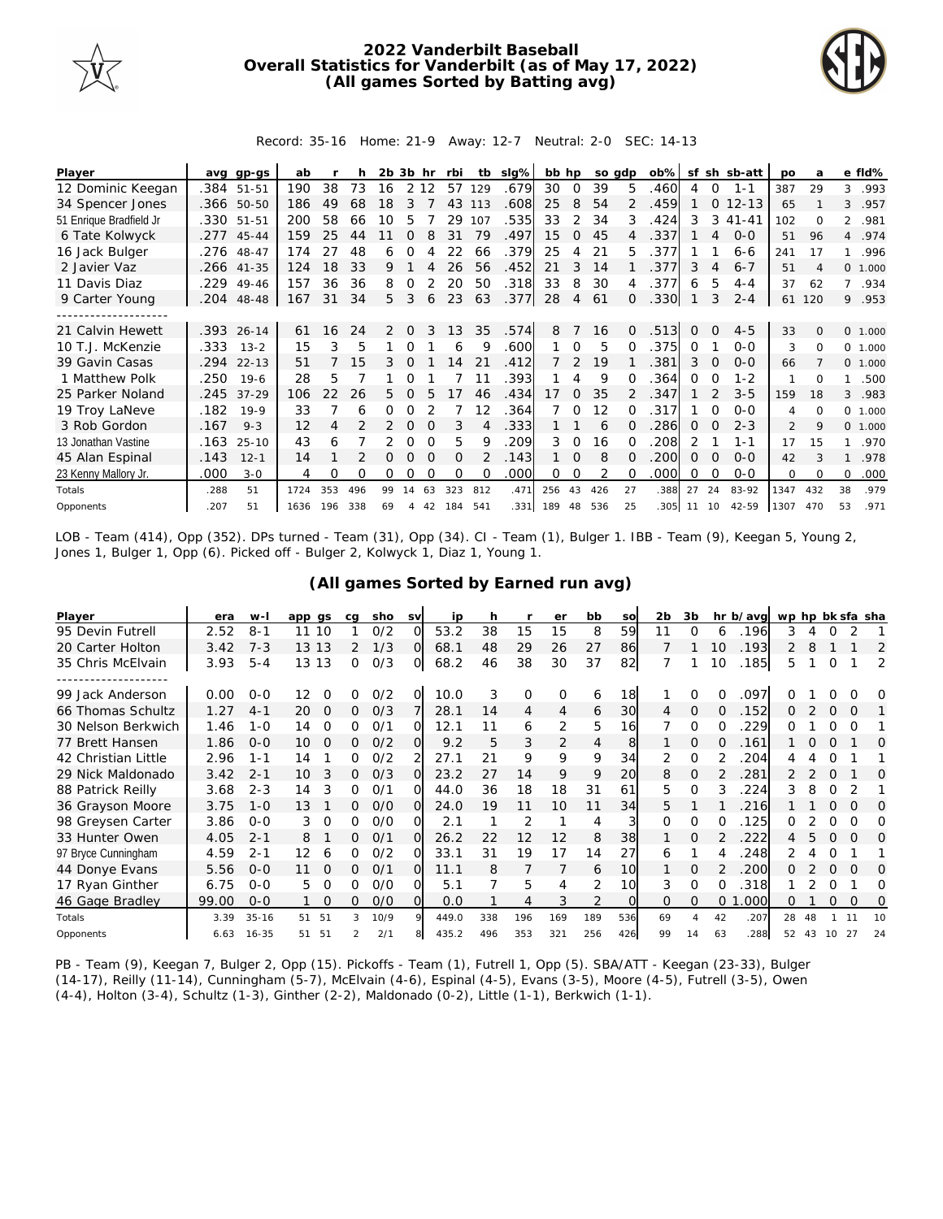

## **2022 Vanderbilt Baseball Overall Statistics for Vanderbilt (as of May 17, 2022) (All games Sorted by Batting avg)**



Record: 35-16 Home: 21-9 Away: 12-7 Neutral: 2-0 SEC: 14-13

| Player                  | ava  | gp-gs      | ab   |     | h   | 2b. | 3b       | hr       | rbi      | tb       | slg% | bb hp   |          |     | so adp   | $ob\%$ | sf       |          | sh sb-att | po             | a        |                | e fld%   |
|-------------------------|------|------------|------|-----|-----|-----|----------|----------|----------|----------|------|---------|----------|-----|----------|--------|----------|----------|-----------|----------------|----------|----------------|----------|
| 12 Dominic Keegan       | .384 | 51-51      | 190  | 38  | 73  | 16  |          | 2 1 2    | 57       | 129      | .679 | 30      | $\Omega$ | 39  | 5        | .460   | 4        | 0        | $1 - 1$   | 387            | 29       | 3              | .993     |
| 34 Spencer Jones        |      | .366 50-50 | 186  | 49  | 68  | 18  |          |          | 43       | 113      | .608 | 25      | 8        | 54  |          | .459   |          | $\Omega$ | $12 - 13$ | 65             |          | 3              | .957     |
| 51 Enrique Bradfield Jr | .330 | 51-51      | 200  | 58  | 66  | 10  | 5        |          | 29       | 107      | .535 | 33      | 2        | 34  | 3        | .424   | 3        | 3        | $41 - 41$ | 102            | $\Omega$ | $\overline{2}$ | .981     |
| 6 Tate Kolwyck          | .277 | 45-44      | 159  | 25  | 44  |     | ∩        | 8        | 31       | 79       | .497 | 15      | $\Omega$ | 45  | 4        | .337   |          | 4        | $O-O$     | 51             | 96       | $\overline{4}$ | .974     |
| 16 Jack Bulger          |      | .276 48-47 | 174  | 27  | 48  | 6   | ∩        |          | 22       | 66       | .379 | 25      | 4        | 21  | 5.       | .377   |          |          | $6 - 6$   | 241            | 17       | $\mathbf{1}$   | .996     |
| 2 Javier Vaz            | .266 | $41 - 35$  | 124  | 18  | 33  | 9.  |          |          | 26       | 56       | .452 | 21      | 3        | 14  |          | 377    | 3        | 4        | $6 - 7$   | 51             | Δ        |                | 0, 1,000 |
| 11 Davis Diaz           | .229 | $49 - 46$  | 157  | 36  | 36  | 8   | ∩        |          | 20       | 50       | .318 | 33      | 8        | 30  | 4        | .377   | 6        | 5        | $4 - 4$   | 37             | 62       | $7^{\circ}$    | .934     |
| 9 Carter Young          | .204 | 48-48      | 167  | 31  | 34  | 5   | 3        | 6        | 23       | 63       | .377 | 28      | 4        | 61  | $\Omega$ | .330   |          | 3        | $2 - 4$   | 61             | 120      |                | 9 .953   |
|                         |      |            |      |     |     |     |          |          |          |          |      |         |          |     |          |        |          |          |           |                |          |                |          |
| 21 Calvin Hewett        | .393 | $26 - 14$  | 61   | 16  | 24  | 2   | $\Omega$ | 3        | 13       | 35       | .574 | 8       |          | 16  | $\Omega$ | .513   | $\Omega$ | $\Omega$ | $4 - 5$   | 33             | $\Omega$ |                | 0 1.000  |
| 10 T.J. McKenzie        | .333 | $13 - 2$   | 15   | 3   | 5   |     |          |          | 6        | 9        | .600 |         | $\Omega$ | 5   |          | .375   | $\Omega$ |          | $0 - 0$   | 3              | $\Omega$ |                | 0 1.000  |
| 39 Gavin Casas          | .294 | $22 - 13$  | 51   |     | 15  | 3   |          |          | l 4      | 21       | .412 |         |          | 19  |          | .381   | 3        | $\Omega$ | $0 - 0$   | 66             |          |                | 0, 1,000 |
| 1 Matthew Polk          | .250 | $19-6$     | 28   | 5   |     |     | 0        |          |          |          | .393 |         | 4        | 9   | ∩        | 364    | 0        | O        | $1 - 2$   |                | 0        | 1.             | .500     |
| 25 Parker Noland        | .245 | $37 - 29$  | 106  | 22  | 26  | 5.  | $\Omega$ |          |          | 46       | .434 | 17      | $\Omega$ | 35  |          | .347   |          |          | $3 - 5$   | 159            | 18       | 3              | .983     |
| 19 Troy LaNeve          | .182 | $19-9$     | 33   |     | 6   | 0   |          |          |          | 12       | .364 |         | ∩        | 12  | $\Omega$ | .317   |          | $\Omega$ | $0 - 0$   | 4              | $\Omega$ |                | 0 1.000  |
| 3 Rob Gordon            | .167 | $9 - 3$    | 12   | 4   |     | 2   | $\Omega$ | $\Omega$ | 3        | 4        | .333 |         |          | 6   | $\Omega$ | 286    | 0        | $\Omega$ | $2 - 3$   | $\overline{2}$ | 9        |                | 0 1.000  |
| 13 Jonathan Vastine     | .163 | $25 - 10$  | 43   | 6   |     |     | $\Omega$ | $\Omega$ | 5        | 9        | .209 | 3       | $\Omega$ | 16  |          | 208    | 2        |          | $1 - 1$   | 17             | 15       |                | .970     |
| 45 Alan Espinal         | .143 | $12 - 1$   | 14   |     |     | 0   | 0        | $\Omega$ | $\Omega$ |          | .143 |         | $\Omega$ | 8   | $\Omega$ | .200   | 0        | $\Omega$ | $0 - 0$   | 42             | 3        | 1              | .978     |
| 23 Kenny Mallory Jr.    | .000 | $3 - 0$    | 4    | O   | O   | 0   | 0        | ∩        | O        | $\Omega$ | .000 | 0       | 0        | 2   | $\Omega$ | .000   | 0        | $\Omega$ | $0 - 0$   | $\Omega$       | $\Omega$ | $\Omega$       | .000     |
| Totals                  | .288 | 51         | 1724 | 353 | 496 | 99  | 14       | 63       | 323      | 812      | .471 | 256     | 43       | 426 | 27       | .388   | 27       | 24       | 83-92     | 1347           | 432      | 38             | .979     |
| Opponents               | .207 | 51         | 1636 | 196 | 338 | 69  | 4        | 42       | 184 541  |          |      | 331 189 | 48       | 536 | 25       | 305    | 11       | 10       | 42-59     | 1307           | 470      | 53             | .971     |

LOB - Team (414), Opp (352). DPs turned - Team (31), Opp (34). CI - Team (1), Bulger 1. IBB - Team (9), Keegan 5, Young 2, Jones 1, Bulger 1, Opp (6). Picked off - Bulger 2, Kolwyck 1, Diaz 1, Young 1.

|  |  | (All games Sorted by Earned run avg) |  |  |
|--|--|--------------------------------------|--|--|
|  |  |                                      |  |  |

| Player              | era   | $W -$     | app qs         | ca | sho  | <b>SV</b> | ip    | h   |     | er  | bb             | SO       | 2b       | 3b       |          | hr b/avg | wp hp bk sfa sha |    |          |          |    |
|---------------------|-------|-----------|----------------|----|------|-----------|-------|-----|-----|-----|----------------|----------|----------|----------|----------|----------|------------------|----|----------|----------|----|
| 95 Devin Futrell    | 2.52  | $8 - 1$   | 10<br>11       |    | O/2  | O         | 53.2  | 38  | 15  | 15  | 8              | 59       | 11       | O        | 6        | 196      | 3                |    |          |          |    |
| 20 Carter Holton    | 3.42  | $7 - 3$   | 13 13          | 2  | 1/3  | $\Omega$  | 68.1  | 48  | 29  | 26  | 27             | 86       |          |          | 10       | .193     | 2                | 8  |          |          | 2  |
| 35 Chris McElvain   | 3.93  | $5 - 4$   | 13<br>13       | Ω  | O/3  | O.        | 68.2  | 46  | 38  | 30  | 37             | 82       |          |          | 10       | 185      | 5                |    | $\Omega$ |          | 2  |
|                     |       |           |                |    |      |           |       |     |     |     |                |          |          |          |          |          |                  |    |          |          |    |
| 99 Jack Anderson    | 0.00  | $O - O$   | 12<br>O        | Ω  | 0/2  | 0         | 10.0  | 3   | 0   | O   | 6              | 18       |          | Ω        |          | .097     |                  |    |          |          | O  |
| 66 Thomas Schultz   | 1.27  | $4 - 1$   | 20<br>$\Omega$ | 0  | O/3  |           | 28.1  | 14  | 4   | 4   | 6              | 30       | 4        | $\Omega$ | 0        | .152     | 0                |    | $\Omega$ |          |    |
| 30 Nelson Berkwich  | 1.46  | $1 - 0$   | 14<br>$\Omega$ | 0  | 0/1  | $\Omega$  | 12.1  | 11  | 6   | 2   | 5              | 16       |          | $\Omega$ |          | 229      | ∩                |    |          | $\Omega$ |    |
| 77 Brett Hansen     | 1.86  | $0 - 0$   | 10<br>$\Omega$ | 0  | O/2  | O.        | 9.2   | 5   | 3   | 2   | $\overline{4}$ | 8        |          | $\Omega$ | $\Omega$ | 161      |                  |    | $\Omega$ |          | Ω  |
| 42 Christian Little | 2.96  | $1 - 1$   | 14             | 0  | 0/2  |           | 27.1  | 21  | 9   | 9   | 9              | 34       | 2        | $\Omega$ |          | 204      | 4                |    | O        |          |    |
| 29 Nick Maldonado   | 3.42  | $2 - 1$   | 10<br>3        | 0  | O/3  | $\Omega$  | 23.2  | 27  | 14  | 9   | 9              | 20       | 8        | $\Omega$ |          | 281      |                  |    | ∩        |          | O  |
| 88 Patrick Reilly   | 3.68  | $2 - 3$   | 3<br>14        | 0  | O/1  | ∩         | 44.0  | 36  | 18  | 18  | 31             | 61       | 5.       | $\Omega$ |          | 224      | 3                |    | $\Omega$ |          |    |
| 36 Grayson Moore    | 3.75  | $1 - 0$   | 13             | 0  | O/O  | $\Omega$  | 24.0  | 19  | 11  | 10  | 11             | 34       | 5.       |          |          | 216      |                  |    |          | $\Omega$ | O  |
| 98 Greysen Carter   | 3.86  | $O-O$     | 3<br>$\Omega$  | 0  | 0/0  | വ         | 2.1   |     | 2   |     | 4              | 3        | $\Omega$ | $\Omega$ | 0        | 125      | O                |    | Ω        | ∩        | Ω  |
| 33 Hunter Owen      | 4.05  | $2 - 1$   | 8              | 0  | O/1  | Ω         | 26.2  | 22  | 12  | 12  | 8              | 38       |          | $\Omega$ |          | 222      | 4                | 5  | $\Omega$ | $\Omega$ | O  |
| 97 Bryce Cunningham | 4.59  | $2 - 1$   | 12<br>6        | O  | 0/2  | O         | 33.1  | 31  | 19  | 17  | 14             | 27       | 6        |          |          | 248      |                  |    | O        |          |    |
| 44 Donye Evans      | 5.56  | $0 - 0$   | 11<br>$\Omega$ | 0  | O/1  | $\Omega$  | 11.1  | 8   | 7   |     | 6              | 10       |          | $\Omega$ |          | 200      | ∩                |    | $\Omega$ |          | O  |
| 17 Ryan Ginther     | 6.75  | $0 - 0$   | 5<br>$\Omega$  | O  | O/O  | വ         | 5.1   |     | 5   | 4   | 2              | 10       | 3        | $\Omega$ | 0        | 318      |                  |    |          |          | Ω  |
| 46 Gage Bradley     | 99.00 | $0 - 0$   | $\Omega$       | 0  | O/O  | O.        | 0.0   |     | 4   | 3   | 2              | $\Omega$ | $\Omega$ | $\Omega$ | $\Omega$ | .000     | 0                |    | 0        | $\Omega$ | 0  |
| Totals              | 3.39  | $35 - 16$ | -51<br>51      | 3  | 10/9 | $\circ$   | 449.0 | 338 | 196 | 169 | 189            | 536      | 69       | 4        | 42       | .207     | 28               | 48 |          |          | 10 |
| Opponents           | 6.63  | $16 - 35$ | 51<br>51       |    | 2/1  |           | 435.2 | 496 | 353 | 321 | 256            | 426      | 99       | 14       | 63       | .288     | 52               | 43 | 10       | 27       | 24 |

PB - Team (9), Keegan 7, Bulger 2, Opp (15). Pickoffs - Team (1), Futrell 1, Opp (5). SBA/ATT - Keegan (23-33), Bulger (14-17), Reilly (11-14), Cunningham (5-7), McElvain (4-6), Espinal (4-5), Evans (3-5), Moore (4-5), Futrell (3-5), Owen (4-4), Holton (3-4), Schultz (1-3), Ginther (2-2), Maldonado (0-2), Little (1-1), Berkwich (1-1).